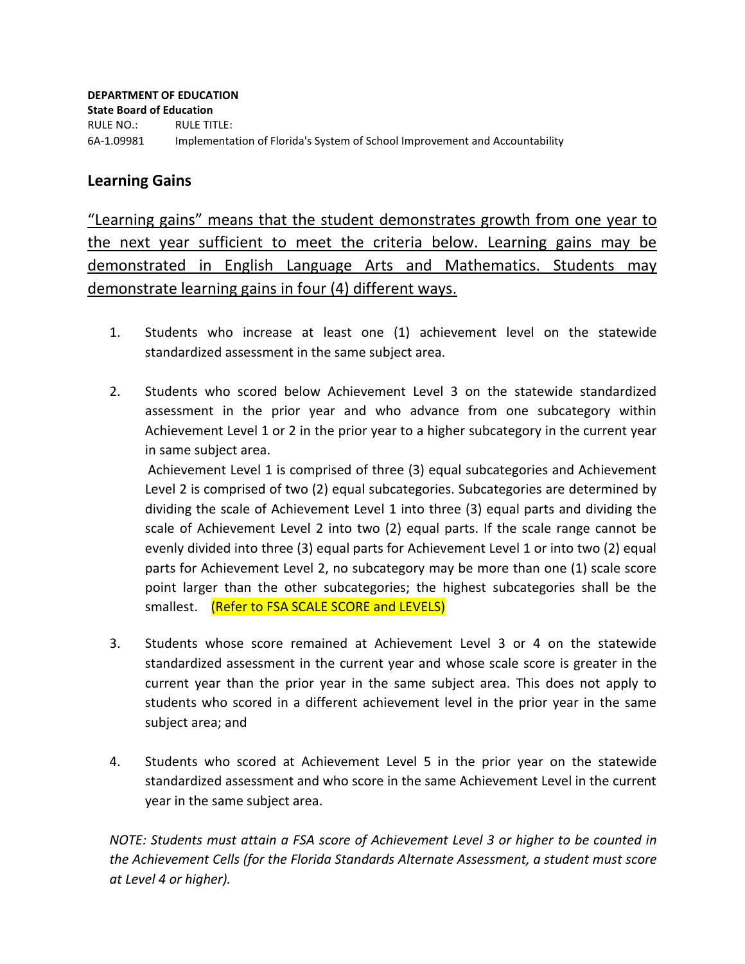#### **Learning Gains**

"Learning gains" means that the student demonstrates growth from one year to the next year sufficient to meet the criteria below. Learning gains may be demonstrated in English Language Arts and Mathematics. Students may demonstrate learning gains in four (4) different ways.

- 1. Students who increase at least one (1) achievement level on the statewide standardized assessment in the same subject area.
- 2. Students who scored below Achievement Level 3 on the statewide standardized assessment in the prior year and who advance from one subcategory within Achievement Level 1 or 2 in the prior year to a higher subcategory in the current year in same subject area.

Achievement Level 1 is comprised of three (3) equal subcategories and Achievement Level 2 is comprised of two (2) equal subcategories. Subcategories are determined by dividing the scale of Achievement Level 1 into three (3) equal parts and dividing the scale of Achievement Level 2 into two (2) equal parts. If the scale range cannot be evenly divided into three (3) equal parts for Achievement Level 1 or into two (2) equal parts for Achievement Level 2, no subcategory may be more than one (1) scale score point larger than the other subcategories; the highest subcategories shall be the smallest. (Refer to FSA SCALE SCORE and LEVELS)

- 3. Students whose score remained at Achievement Level 3 or 4 on the statewide standardized assessment in the current year and whose scale score is greater in the current year than the prior year in the same subject area. This does not apply to students who scored in a different achievement level in the prior year in the same subject area; and
- 4. Students who scored at Achievement Level 5 in the prior year on the statewide standardized assessment and who score in the same Achievement Level in the current year in the same subject area.

*NOTE: Students must attain a FSA score of Achievement Level 3 or higher to be counted in the Achievement Cells (for the Florida Standards Alternate Assessment, a student must score at Level 4 or higher).*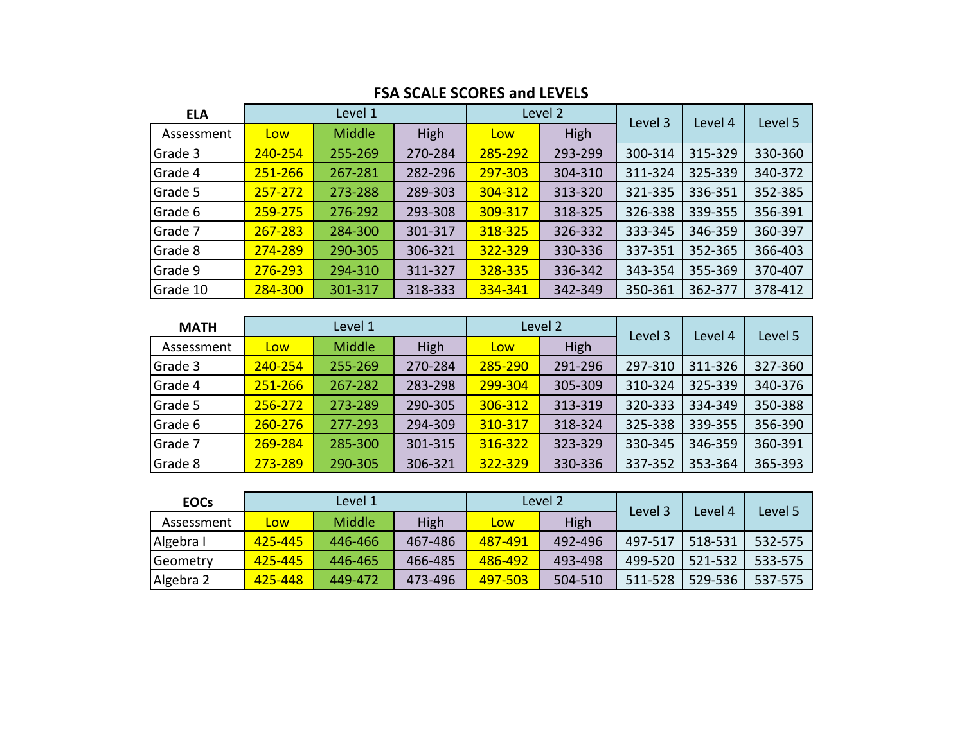| <b>ELA</b> | Level 1 |         |         | Level 2 |         | Level 3 | Level 4 | Level 5 |
|------------|---------|---------|---------|---------|---------|---------|---------|---------|
| Assessment | Low     | Middle  | High    | Low     | High    |         |         |         |
| Grade 3    | 240-254 | 255-269 | 270-284 | 285-292 | 293-299 | 300-314 | 315-329 | 330-360 |
| Grade 4    | 251-266 | 267-281 | 282-296 | 297-303 | 304-310 | 311-324 | 325-339 | 340-372 |
| Grade 5    | 257-272 | 273-288 | 289-303 | 304-312 | 313-320 | 321-335 | 336-351 | 352-385 |
| Grade 6    | 259-275 | 276-292 | 293-308 | 309-317 | 318-325 | 326-338 | 339-355 | 356-391 |
| Grade 7    | 267-283 | 284-300 | 301-317 | 318-325 | 326-332 | 333-345 | 346-359 | 360-397 |
| Grade 8    | 274-289 | 290-305 | 306-321 | 322-329 | 330-336 | 337-351 | 352-365 | 366-403 |
| Grade 9    | 276-293 | 294-310 | 311-327 | 328-335 | 336-342 | 343-354 | 355-369 | 370-407 |
| Grade 10   | 284-300 | 301-317 | 318-333 | 334-341 | 342-349 | 350-361 | 362-377 | 378-412 |

#### **FSA SCALE SCORES and LEVELS**

| <b>MATH</b> | Level 1    |               |         | Level 2 |         | Level 3 | Level 4 | Level 5 |
|-------------|------------|---------------|---------|---------|---------|---------|---------|---------|
| Assessment  | <b>Low</b> | <b>Middle</b> | High    | Low     | High    |         |         |         |
| Grade 3     | 240-254    | 255-269       | 270-284 | 285-290 | 291-296 | 297-310 | 311-326 | 327-360 |
| Grade 4     | 251-266    | 267-282       | 283-298 | 299-304 | 305-309 | 310-324 | 325-339 | 340-376 |
| Grade 5     | 256-272    | 273-289       | 290-305 | 306-312 | 313-319 | 320-333 | 334-349 | 350-388 |
| Grade 6     | 260-276    | 277-293       | 294-309 | 310-317 | 318-324 | 325-338 | 339-355 | 356-390 |
| Grade 7     | 269-284    | 285-300       | 301-315 | 316-322 | 323-329 | 330-345 | 346-359 | 360-391 |
| Grade 8     | 273-289    | 290-305       | 306-321 | 322-329 | 330-336 | 337-352 | 353-364 | 365-393 |

| <b>EOCs</b> | Level 1 |               |         | Level 2 |         | Level 3 | Level 4 | Level 5 |
|-------------|---------|---------------|---------|---------|---------|---------|---------|---------|
| Assessment  | Low     | <b>Middle</b> | High    | Low     | High    |         |         |         |
| Algebra I   | 425-445 | 446-466       | 467-486 | 487-491 | 492-496 | 497-517 | 518-531 | 532-575 |
| Geometry    | 425-445 | 446-465       | 466-485 | 486-492 | 493-498 | 499-520 | 521-532 | 533-575 |
| Algebra 2   | 425-448 | 449-472       | 473-496 | 497-503 | 504-510 | 511-528 | 529-536 | 537-575 |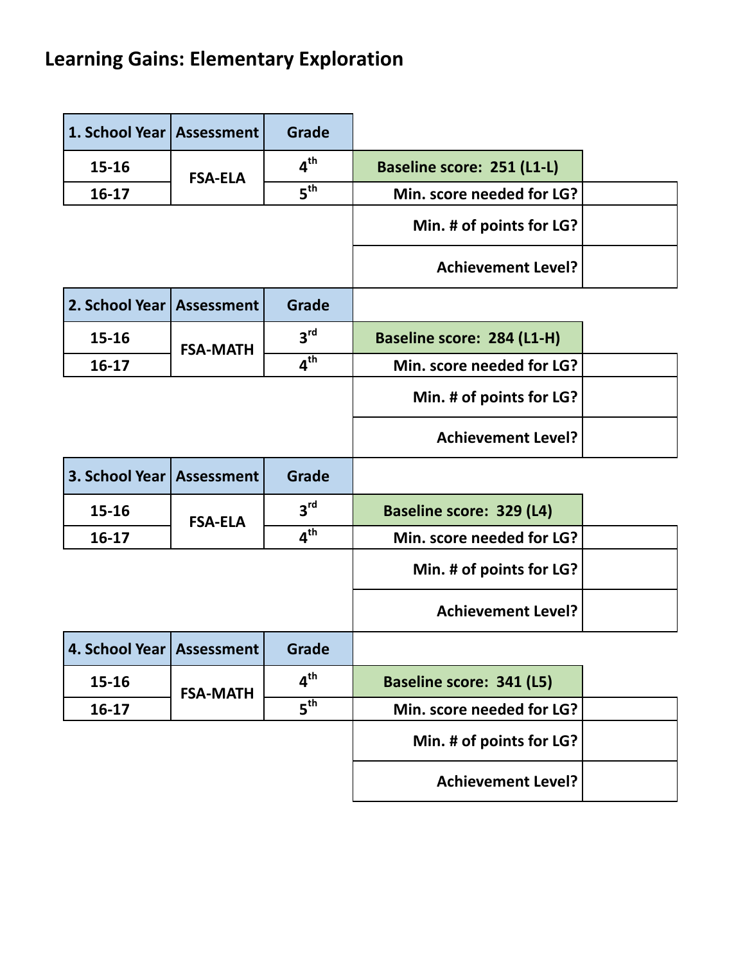# **Learning Gains: Elementary Exploration**

| 1. School Year   Assessment |                   | <b>Grade</b>    |                                   |  |
|-----------------------------|-------------------|-----------------|-----------------------------------|--|
| $15 - 16$                   | <b>FSA-ELA</b>    | $4^{\text{th}}$ | <b>Baseline score: 251 (L1-L)</b> |  |
| $16-17$                     |                   | $5^{\text{th}}$ | Min. score needed for LG?         |  |
|                             |                   |                 | Min. # of points for LG?          |  |
|                             |                   |                 | <b>Achievement Level?</b>         |  |
| 2. School Year              | <b>Assessment</b> | <b>Grade</b>    |                                   |  |
| $15 - 16$                   | <b>FSA-MATH</b>   | 3 <sup>rd</sup> | Baseline score: 284 (L1-H)        |  |
| $16-17$                     |                   | $4^{\text{th}}$ | Min. score needed for LG?         |  |
|                             |                   |                 | Min. # of points for LG?          |  |
|                             |                   |                 | <b>Achievement Level?</b>         |  |
| 3. School Year              | Assessment        | <b>Grade</b>    |                                   |  |
| $15 - 16$                   | <b>FSA-ELA</b>    | 3 <sup>rd</sup> | <b>Baseline score: 329 (L4)</b>   |  |
| $16-17$                     |                   | 4 <sup>th</sup> | Min. score needed for LG?         |  |
|                             |                   |                 | Min. # of points for LG?          |  |
|                             |                   |                 | <b>Achievement Level?</b>         |  |
| 4. School Year   Assessment |                   | Grade           |                                   |  |
| 15-16                       | <b>FSA-MATH</b>   | 4 <sup>th</sup> | <b>Baseline score: 341 (L5)</b>   |  |
| $16-17$                     |                   | 5 <sup>th</sup> | Min. score needed for LG?         |  |
|                             |                   |                 | Min. # of points for LG?          |  |
|                             |                   |                 | <b>Achievement Level?</b>         |  |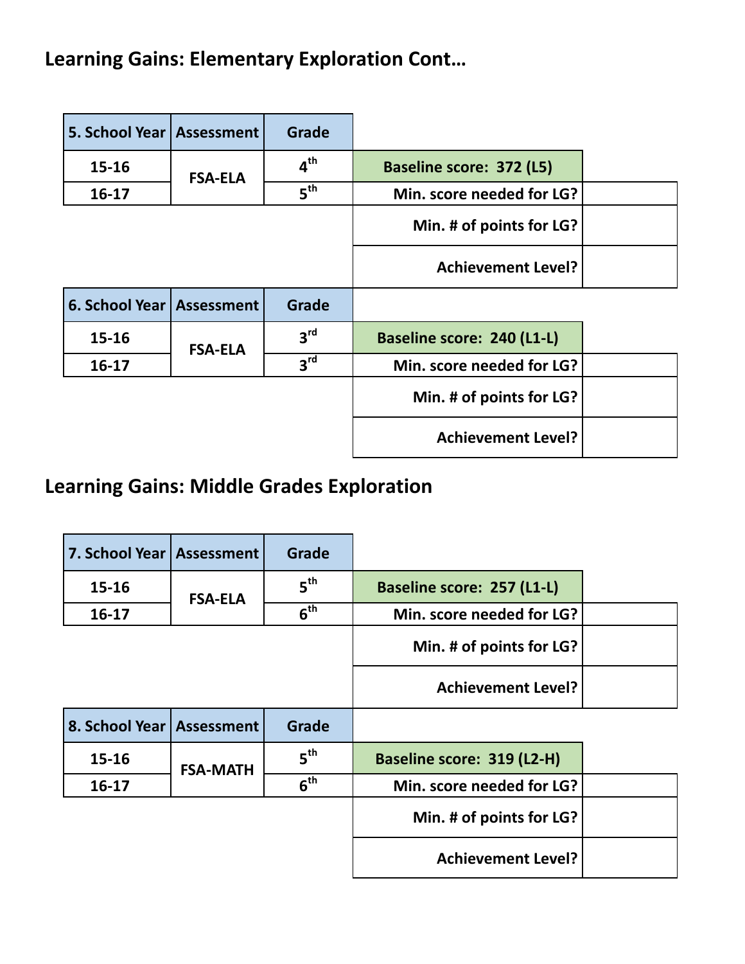## Learning Gains: Elementary Exploration Cont...

| 5. School Year   Assessment |                | <b>Grade</b>    |                                   |  |
|-----------------------------|----------------|-----------------|-----------------------------------|--|
| $15 - 16$                   | <b>FSA-ELA</b> | $4^{\text{th}}$ | <b>Baseline score: 372 (L5)</b>   |  |
| $16 - 17$                   |                | 5 <sup>th</sup> | Min. score needed for LG?         |  |
|                             |                |                 | Min. # of points for LG?          |  |
|                             |                |                 | <b>Achievement Level?</b>         |  |
|                             |                |                 |                                   |  |
| 6. School Year   Assessment |                | <b>Grade</b>    |                                   |  |
| $15 - 16$                   |                | 3 <sup>rd</sup> | <b>Baseline score: 240 (L1-L)</b> |  |
| $16 - 17$                   | <b>FSA-ELA</b> | 3 <sup>rd</sup> | Min. score needed for LG?         |  |
|                             |                |                 | Min. # of points for LG?          |  |

 $\overline{\phantom{a}}$ 

## **Learning Gains: Middle Grades Exploration**

| 7. School Year   Assessment |                 | <b>Grade</b>    |                                   |  |
|-----------------------------|-----------------|-----------------|-----------------------------------|--|
| $15 - 16$                   | <b>FSA-ELA</b>  | 5 <sup>th</sup> | <b>Baseline score: 257 (L1-L)</b> |  |
| $16 - 17$                   |                 | 6 <sup>th</sup> | Min. score needed for LG?         |  |
|                             |                 |                 | Min. # of points for LG?          |  |
|                             |                 |                 | <b>Achievement Level?</b>         |  |
| 8. School Year   Assessment |                 | Grade           |                                   |  |
| $15 - 16$                   | <b>FSA-MATH</b> | 5 <sup>th</sup> | Baseline score: 319 (L2-H)        |  |
| $16 - 17$                   |                 | 6 <sup>th</sup> | Min. score needed for LG?         |  |
|                             |                 |                 | Min. # of points for LG?          |  |
|                             |                 |                 | <b>Achievement Level?</b>         |  |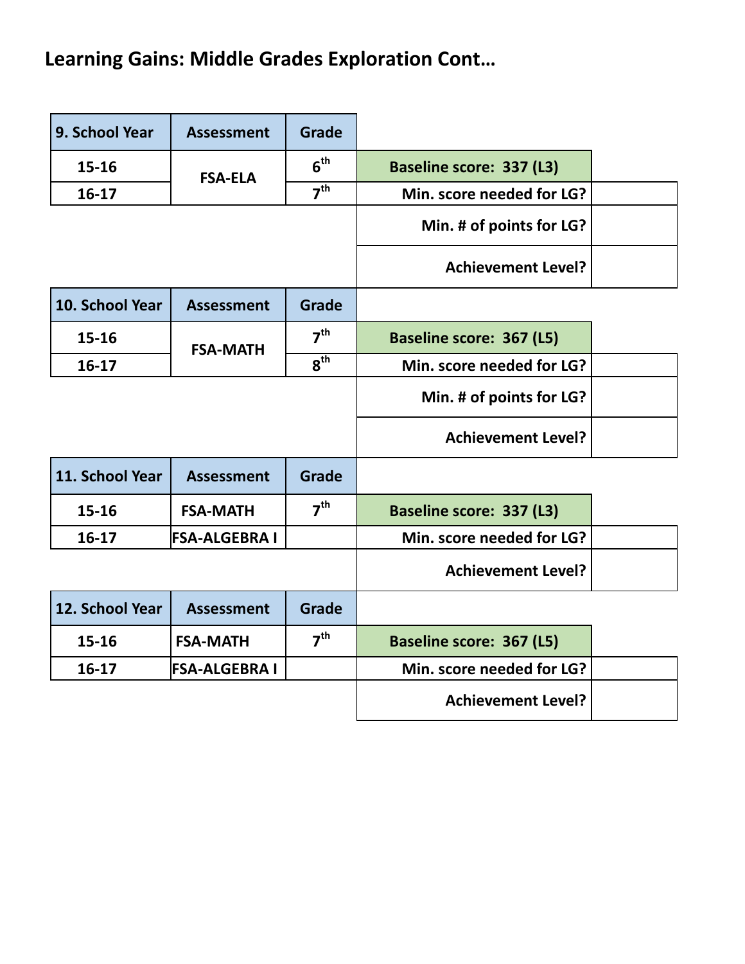# Learning Gains: Middle Grades Exploration Cont...

| 9. School Year  | <b>Assessment</b>    | <b>Grade</b>    |                                 |  |
|-----------------|----------------------|-----------------|---------------------------------|--|
| 15-16           | <b>FSA-ELA</b>       | $6^{\text{th}}$ | <b>Baseline score: 337 (L3)</b> |  |
| 16-17           |                      | 7 <sup>th</sup> | Min. score needed for LG?       |  |
|                 |                      |                 | Min. # of points for LG?        |  |
|                 |                      |                 | <b>Achievement Level?</b>       |  |
| 10. School Year | <b>Assessment</b>    | <b>Grade</b>    |                                 |  |
| $15 - 16$       | <b>FSA-MATH</b>      | 7 <sup>th</sup> | <b>Baseline score: 367 (L5)</b> |  |
| $16-17$         |                      | 8 <sup>th</sup> | Min. score needed for LG?       |  |
|                 |                      |                 | Min. # of points for LG?        |  |
|                 |                      |                 | <b>Achievement Level?</b>       |  |
| 11. School Year | <b>Assessment</b>    | Grade           |                                 |  |
| $15 - 16$       | <b>FSA-MATH</b>      | 7 <sup>th</sup> | <b>Baseline score: 337 (L3)</b> |  |
| $16-17$         | <b>FSA-ALGEBRA I</b> |                 | Min. score needed for LG?       |  |
|                 |                      |                 | <b>Achievement Level?</b>       |  |
| 12. School Year | <b>Assessment</b>    | <b>Grade</b>    |                                 |  |
| $15 - 16$       | <b>FSA-MATH</b>      | 7 <sup>th</sup> | <b>Baseline score: 367 (L5)</b> |  |
| $16-17$         | <b>FSA-ALGEBRA I</b> |                 | Min. score needed for LG?       |  |
|                 |                      |                 | <b>Achievement Level?</b>       |  |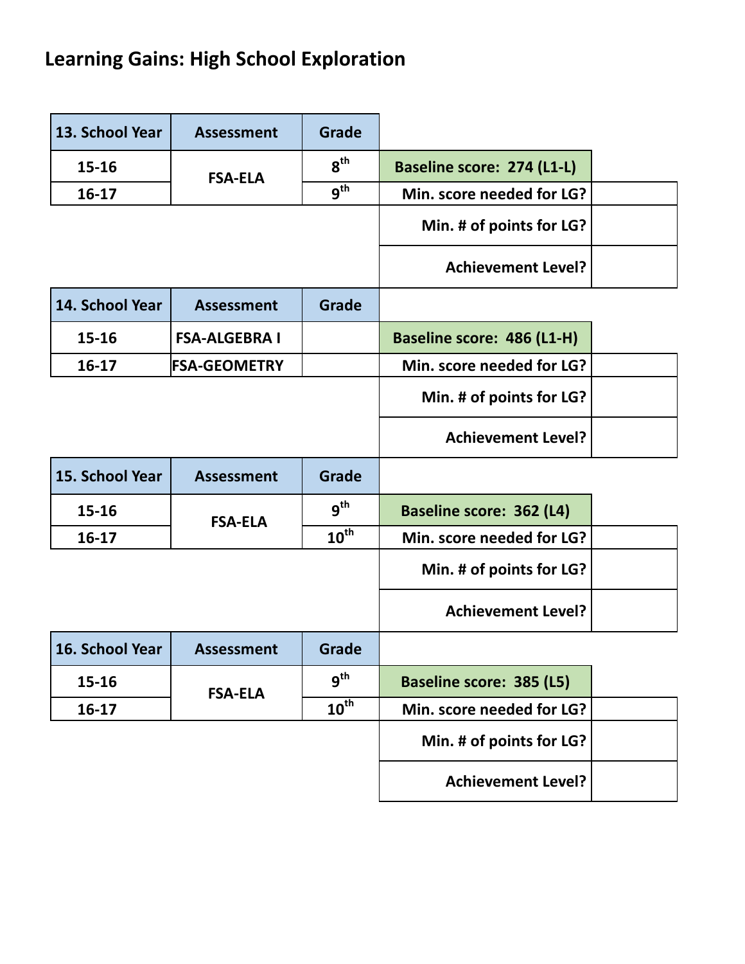# Learning Gains: High School Exploration

| 13. School Year | <b>Assessment</b>    | Grade            |                                 |  |
|-----------------|----------------------|------------------|---------------------------------|--|
| $15 - 16$       | <b>FSA-ELA</b>       | $8^{\text{th}}$  | Baseline score: 274 (L1-L)      |  |
| $16-17$         |                      | $g^{th}$         | Min. score needed for LG?       |  |
|                 |                      |                  | Min. # of points for LG?        |  |
|                 |                      |                  | <b>Achievement Level?</b>       |  |
| 14. School Year | <b>Assessment</b>    | <b>Grade</b>     |                                 |  |
| $15 - 16$       | <b>FSA-ALGEBRA I</b> |                  | Baseline score: 486 (L1-H)      |  |
| $16-17$         | <b>FSA-GEOMETRY</b>  |                  | Min. score needed for LG?       |  |
|                 |                      |                  | Min. # of points for LG?        |  |
|                 |                      |                  | <b>Achievement Level?</b>       |  |
| 15. School Year | <b>Assessment</b>    | <b>Grade</b>     |                                 |  |
| $15 - 16$       | <b>FSA-ELA</b>       | 9 <sup>th</sup>  | <b>Baseline score: 362 (L4)</b> |  |
| $16 - 17$       |                      | $10^{\text{th}}$ | Min. score needed for LG?       |  |
|                 |                      |                  | Min. # of points for LG?        |  |
|                 |                      |                  | <b>Achievement Level?</b>       |  |
| 16. School Year | <b>Assessment</b>    | <b>Grade</b>     |                                 |  |
| 15-16           | <b>FSA-ELA</b>       | $q^{th}$         | <b>Baseline score: 385 (L5)</b> |  |
| $16 - 17$       |                      | $10^{\text{th}}$ | Min. score needed for LG?       |  |
|                 |                      |                  |                                 |  |
|                 |                      |                  | Min. # of points for LG?        |  |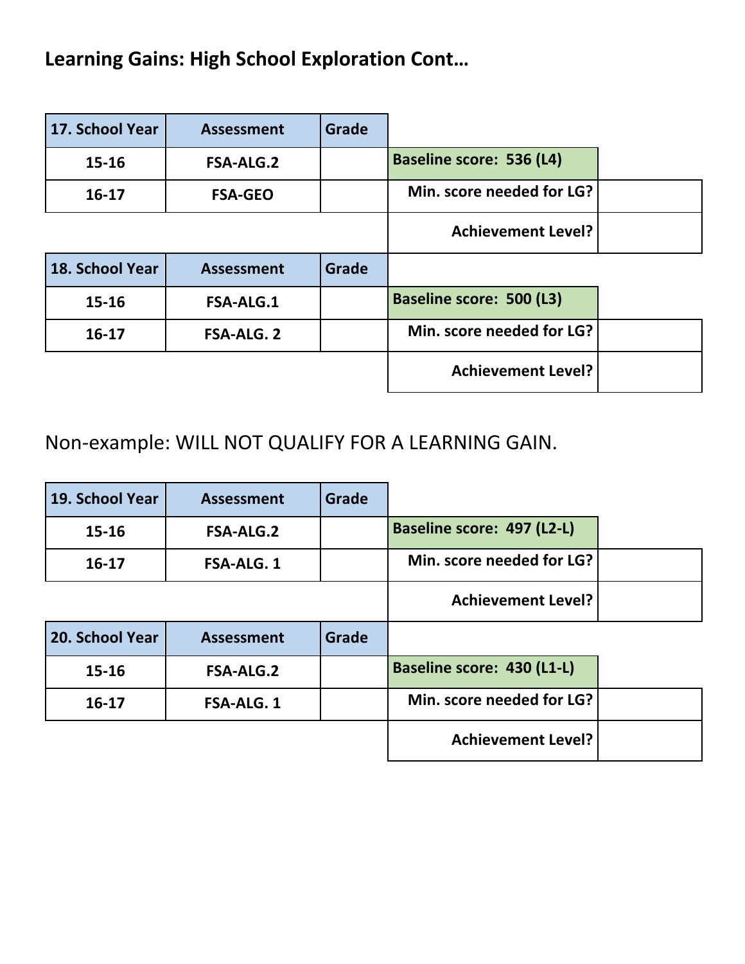## Learning Gains: High School Exploration Cont...

| 17. School Year | <b>Assessment</b> | <b>Grade</b> |                                 |  |
|-----------------|-------------------|--------------|---------------------------------|--|
| $15 - 16$       | <b>FSA-ALG.2</b>  |              | <b>Baseline score: 536 (L4)</b> |  |
| $16 - 17$       | <b>FSA-GEO</b>    |              | Min. score needed for LG?       |  |
|                 |                   |              | <b>Achievement Level?</b>       |  |
|                 |                   |              |                                 |  |
| 18. School Year | <b>Assessment</b> | <b>Grade</b> |                                 |  |
| $15 - 16$       | <b>FSA-ALG.1</b>  |              | <b>Baseline score: 500 (L3)</b> |  |
| $16 - 17$       | <b>FSA-ALG. 2</b> |              | Min. score needed for LG?       |  |

Non-example: WILL NOT QUALIFY FOR A LEARNING GAIN.

| 19. School Year | <b>Assessment</b> | <b>Grade</b> |                            |  |
|-----------------|-------------------|--------------|----------------------------|--|
| $15 - 16$       | <b>FSA-ALG.2</b>  |              | Baseline score: 497 (L2-L) |  |
| $16 - 17$       | <b>FSA-ALG. 1</b> |              | Min. score needed for LG?  |  |
|                 |                   |              | <b>Achievement Level?</b>  |  |
|                 |                   |              |                            |  |
| 20. School Year | <b>Assessment</b> | Grade        |                            |  |
| $15 - 16$       | <b>FSA-ALG.2</b>  |              | Baseline score: 430 (L1-L) |  |
| $16 - 17$       | <b>FSA-ALG. 1</b> |              | Min. score needed for LG?  |  |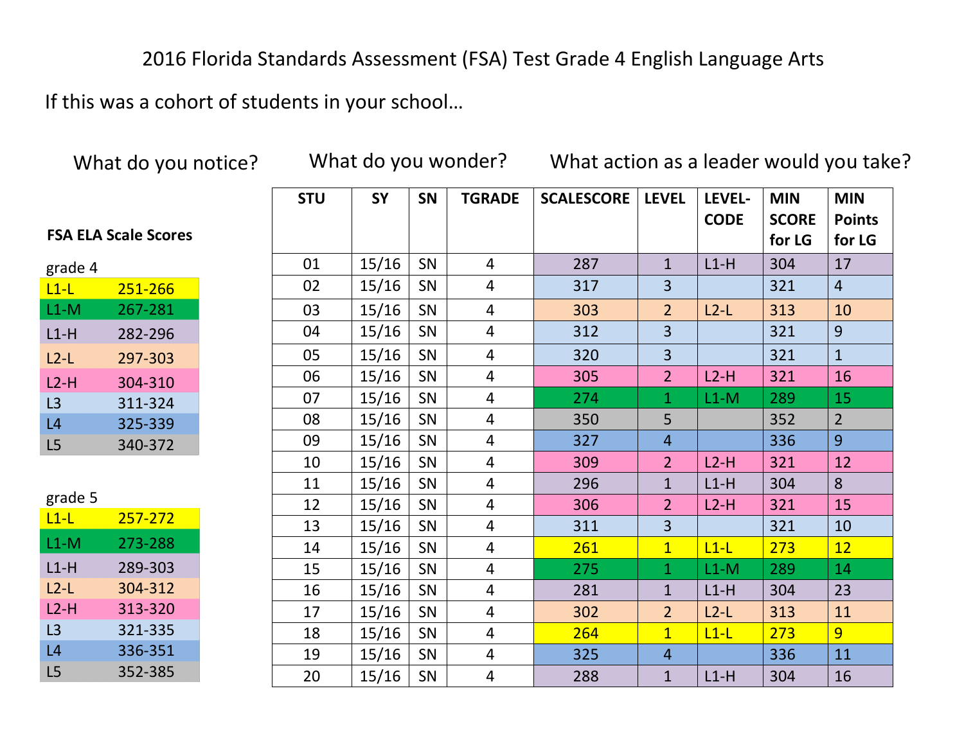### 2016 Florida Standards Assessment (FSA) Test Grade 4 English Language Arts

If this was a cohort of students in your school...

What do you notice? What do you wonder? What action as a leader would you take?

| <b>STU</b> | <b>SY</b> | <b>SN</b> | <b>TGRADE</b>  | <b>SCALESCORE</b> | <b>LEVEL</b>   | LEVEL-<br><b>CODE</b> | <b>MIN</b><br><b>SCORE</b><br>for LG | <b>MIN</b><br><b>Points</b><br>for LG |
|------------|-----------|-----------|----------------|-------------------|----------------|-----------------------|--------------------------------------|---------------------------------------|
| 01         | 15/16     | SN        | $\overline{4}$ | 287               | $\mathbf{1}$   | $L1-H$                | 304                                  | 17                                    |
| 02         | 15/16     | SN        | 4              | 317               | 3              |                       | 321                                  | $\overline{4}$                        |
| 03         | 15/16     | SN        | $\overline{4}$ | 303               | 2 <sup>1</sup> | $L2-L$                | 313                                  | 10                                    |
| 04         | 15/16     | SN        | $\overline{4}$ | 312               | $\overline{3}$ |                       | 321                                  | 9                                     |
| 05         | 15/16     | SN        | 4              | 320               | $\overline{3}$ |                       | 321                                  | $\overline{1}$                        |
| 06         | 15/16     | SN        | 4              | 305               | $\overline{2}$ | $L2-H$                | 321                                  | 16                                    |
| 07         | 15/16     | SN        | 4              | 274               | $\mathbf{1}$   | $L1-M$                | 289                                  | 15                                    |
| 08         | 15/16     | SN        | $\overline{4}$ | 350               | 5              |                       | 352                                  | $\overline{2}$                        |
| 09         | 15/16     | SN        | $\overline{4}$ | 327               | $\overline{4}$ |                       | 336                                  | 9                                     |
| 10         | 15/16     | SN        | 4              | 309               | $\overline{2}$ | $L2-H$                | 321                                  | 12                                    |
| 11         | 15/16     | SN        | $\overline{4}$ | 296               | $\overline{1}$ | $L1-H$                | 304                                  | 8                                     |
| 12         | 15/16     | SN        | $\overline{4}$ | 306               | 2 <sup>1</sup> | $L2-H$                | 321                                  | 15                                    |
| 13         | 15/16     | SN        | $\overline{4}$ | 311               | $\overline{3}$ |                       | 321                                  | 10                                    |
| 14         | 15/16     | SN        | $\overline{4}$ | 261               | $\mathbf{1}$   | $L1-L$                | 273                                  | 12                                    |
| 15         | 15/16     | SN        | $\overline{4}$ | 275               | $\mathbf{1}$   | $L1-M$                | 289                                  | 14                                    |
| 16         | 15/16     | SN        | 4              | 281               | $\mathbf{1}$   | $L1-H$                | 304                                  | 23                                    |
| 17         | 15/16     | SN        | $\overline{4}$ | 302               | $\overline{2}$ | $L2-L$                | 313                                  | 11                                    |
| 18         | 15/16     | SN        | $\overline{4}$ | 264               | $\overline{1}$ | $L1-L$                | 273                                  | $\overline{9}$                        |
| 19         | 15/16     | SN        | 4              | 325               | $\overline{4}$ |                       | 336                                  | 11                                    |
| 20         | 15/16     | SN        | 4              | 288               | $\mathbf{1}$   | $L1-H$                | 304                                  | 16                                    |

### **FSA ELA Scale Scores**

| grade 4 |         |
|---------|---------|
| $L1-L$  | 251-266 |
| L1-M    | 267-281 |
| L1-H    | 282-296 |
| L2-L    | 297-303 |
| L2-H    | 304-310 |
| L3      | 311-324 |
| L4      | 325-339 |
| L5      | 340-372 |

|--|

| $L1-L$ | 257-272 |
|--------|---------|
| L1-M   | 273-288 |
| L1-H   | 289-303 |
| L2-L   | 304-312 |
| $L2-H$ | 313-320 |
| L3     | 321-335 |
| L4     | 336-351 |
| L5     | 352-385 |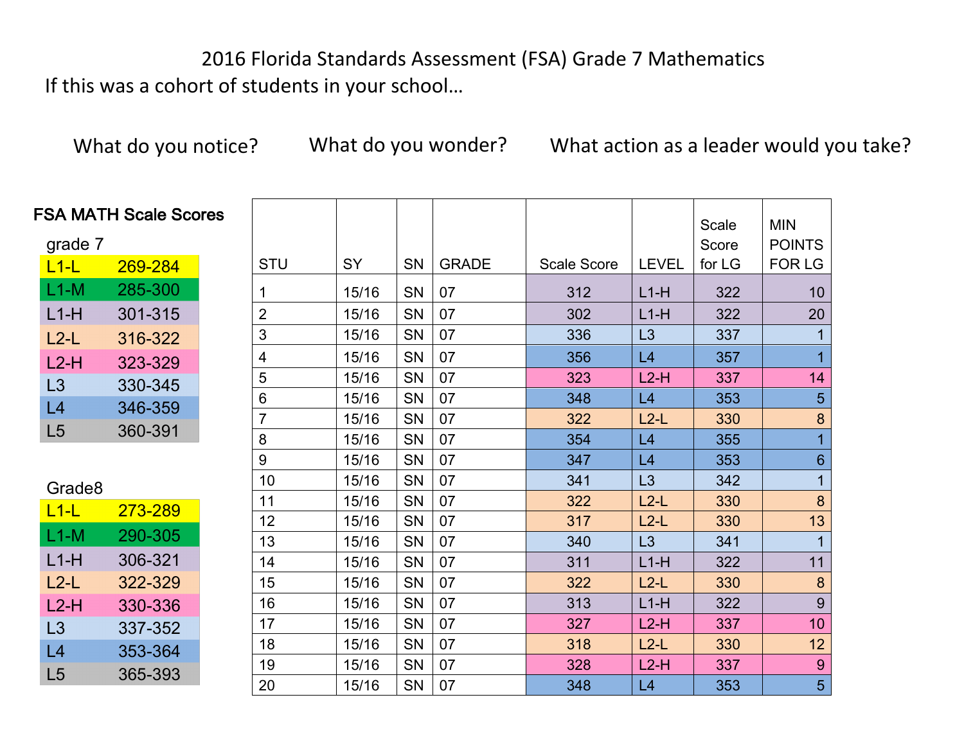2016 Florida Standards Assessment (FSA) Grade 7 Mathematics If this was a cohort of students in your school...

What do you notice? What do you wonder? What action as a leader would you take?

| <b>ile Scores</b> |                |           |           |              |             |              | Scale<br>Score | <b>MIN</b><br><b>POINTS</b> |
|-------------------|----------------|-----------|-----------|--------------|-------------|--------------|----------------|-----------------------------|
| 284               | <b>STU</b>     | <b>SY</b> | <b>SN</b> | <b>GRADE</b> | Scale Score | <b>LEVEL</b> | for LG         | <b>FOR LG</b>               |
| 300               | 1              | 15/16     | SN        | 07           | 312         | $L1-H$       | 322            | 10                          |
| 315               | $\overline{2}$ | 15/16     | SN        | 07           | 302         | $L1-H$       | 322            | 20                          |
| 322               | $\mathfrak{S}$ | 15/16     | SN        | 07           | 336         | L3           | 337            |                             |
| 329               | 4              | 15/16     | SN        | 07           | 356         | L4           | 357            | $\overline{1}$              |
| 345               | 5              | 15/16     | SN        | 07           | 323         | $L2-H$       | 337            | 14                          |
| 359               | $6\phantom{1}$ | 15/16     | SN        | 07           | 348         | L4           | 353            | 5                           |
|                   | $\overline{7}$ | 15/16     | SN        | 07           | 322         | $L2-L$       | 330            | 8                           |
| 391               | 8              | 15/16     | <b>SN</b> | 07           | 354         | L4           | 355            | $\overline{1}$              |
|                   | 9              | 15/16     | SN        | 07           | 347         | L4           | 353            | $6\phantom{1}$              |
|                   | 10             | 15/16     | SN        | 07           | 341         | L3           | 342            | $\overline{1}$              |
| $-289$            | 11             | 15/16     | <b>SN</b> | 07           | 322         | $L2-L$       | 330            | 8                           |
|                   | 12             | 15/16     | <b>SN</b> | 07           | 317         | $L2-L$       | 330            | 13                          |
| $-305$            | 13             | 15/16     | SN        | 07           | 340         | L3           | 341            | $\overline{1}$              |
| 321               | 14             | 15/16     | SN        | 07           | 311         | $L1-H$       | 322            | 11                          |
| 329               | 15             | 15/16     | SN        | 07           | 322         | $L2-L$       | 330            | 8                           |
| 336               | 16             | 15/16     | <b>SN</b> | 07           | 313         | $L1-H$       | 322            | 9                           |
| 352               | 17             | 15/16     | <b>SN</b> | 07           | 327         | $L2-H$       | 337            | 10                          |
| 364               | 18             | 15/16     | SN        | 07           | 318         | $L2-L$       | 330            | 12                          |
| 393               | 19             | 15/16     | <b>SN</b> | 07           | 328         | $L2-H$       | 337            | 9                           |
|                   | 20             | 15/16     | <b>SN</b> | 07           | 348         | L4           | 353            | 5                           |

#### **FSA MATH Sca**

| grade 7 |                |
|---------|----------------|
| $L1-L$  | <u>269-284</u> |
| L1-M    | 285-300        |
| L1-H    | 301-315        |
| $L2-L$  | 316-322        |
| $L2-H$  | 323-329        |
| L3      | 330-345        |
| l 4     | 346-359        |
| L5      | 360-391        |

| Grade8      |                |
|-------------|----------------|
| <u>L1-L</u> | <u>273-289</u> |
| L1-M        | 290-305        |
| L1-H        | 306-321        |
| L2-L        | 322-329        |
| L2-H        | 330-336        |
| L3          | 337-352        |
| L4          | 353-364        |
| L5          | 365-393        |